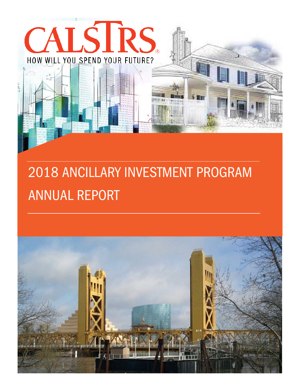

# 2018 ANCILLARY INVESTMENT PROGRAM ANNUAL REPORT

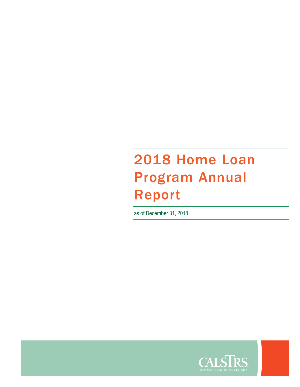## 2018 Home Loan Program Annual Report

as of December 31, 2018

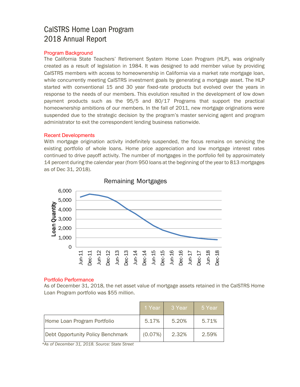### CalSTRS Home Loan Program 2018 Annual Report

#### Program Background

The California State Teachers' Retirement System Home Loan Program (HLP), was originally created as a result of legislation in 1984. It was designed to add member value by providing CalSTRS members with access to homeownership in California via a market rate mortgage loan, while concurrently meeting CalSTRS investment goals by generating a mortgage asset. The HLP started with conventional 15 and 30 year fixed-rate products but evolved over the years in response to the needs of our members. This evolution resulted in the development of low down payment products such as the 95/5 and 80/17 Programs that support the practical homeownership ambitions of our members. In the fall of 2011, new mortgage originations were suspended due to the strategic decision by the program's master servicing agent and program administrator to exit the correspondent lending business nationwide.

#### Recent Developments

With mortgage origination activity indefinitely suspended, the focus remains on servicing the existing portfolio of whole loans. Home price appreciation and low mortgage interest rates continued to drive payoff activity. The number of mortgages in the portfolio fell by approximately 14 percent during the calendar year (from 950 loans at the beginning of the year to 813 mortgages as of Dec 31, 2018).



#### Remaining Mortgages

#### Portfolio Performance

As of December 31, 2018, the net asset value of mortgage assets retained in the CalSTRS Home Loan Program portfolio was \$55 million.

|                                   | 1 Year  | 3 Year | 5 Year |
|-----------------------------------|---------|--------|--------|
| Home Loan Program Portfolio       | 5.17%   | 5.20%  | 5.71%  |
| Debt Opportunity Policy Benchmark | (0.07%) | 2.32%  | 2.59%  |

*\*As of December 31, 2018. Source: State Street*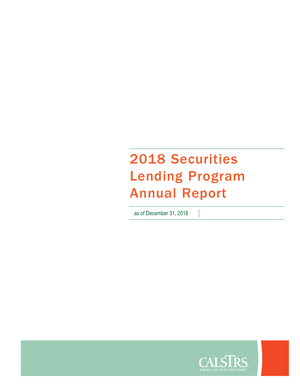## 2018 Securities Lending Program Annual Report

as of December 31, 2018

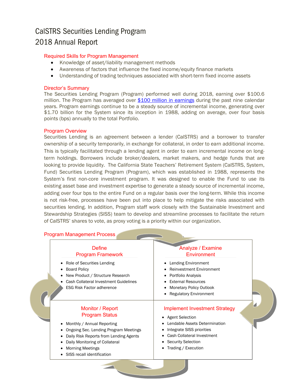### CalSTRS Securities Lending Program 2018 Annual Report

#### Required Skills for Program Management

- Knowledge of asset/liability management methods
- Awareness of factors that influence the fixed income/equity finance markets
- Understanding of trading techniques associated with short-term fixed income assets

#### Director's Summary

The Securities Lending Program (Program) performed well during 2018, earning over \$100.6 million. The Program has averaged over \$100 million in earnings during the past nine calendar years. Program earnings continue to be a steady source of incremental income, generating over \$1.70 billion for the System since its inception in 1988, adding on average, over four basis points (bps) annually to the total Portfolio.

#### Program Overview

Securities Lending is an agreement between a lender (CalSTRS) and a borrower to transfer ownership of a security temporarily, in exchange for collateral, in order to earn additional income. This is typically facilitated through a lending agent in order to earn incremental income on longterm holdings. Borrowers include broker/dealers, market makers, and hedge funds that are looking to provide liquidity. The California State Teachers' Retirement System (CalSTRS, System, Fund) Securities Lending Program (Program), which was established in 1988, represents the System's first non-core investment program. It was designed to enable the Fund to use its existing asset base and investment expertise to generate a steady source of incremental income, adding over four bps to the entire Fund on a regular basis over the long-term. While this income is not risk-free, processes have been put into place to help mitigate the risks associated with securities lending. In addition, Program staff work closely with the Sustainable Investment and Stewardship Strategies (SISS) team to develop and streamline processes to facilitate the return of CalSTRS' shares to vote, as proxy voting is a priority within our organization.

| Define                                                                                                                                                                                                   | Analyze / Examine                                                                                                                                                            |
|----------------------------------------------------------------------------------------------------------------------------------------------------------------------------------------------------------|------------------------------------------------------------------------------------------------------------------------------------------------------------------------------|
| <b>Program Framework</b>                                                                                                                                                                                 | Environment                                                                                                                                                                  |
| • Role of Securities Lending<br><b>Board Policy</b><br>New Product / Structure Research<br>Cash Collateral Investment Guidelines<br><b>ESG Risk Factor adherence</b>                                     | Lending Environment<br><b>Reinvestment Environment</b><br>Portfolio Analysis<br><b>External Resources</b><br><b>Monetary Policy Outlook</b><br><b>Regulatory Environment</b> |
| Monitor / Report                                                                                                                                                                                         | <b>Implement Investment Strategy</b>                                                                                                                                         |
| <b>Program Status</b>                                                                                                                                                                                    | • Agent Selection                                                                                                                                                            |
| Monthly / Annual Reporting<br>Ongoing Sec. Lending Program Meetings<br>Daily Risk Reports from Lending Agents<br>Daily Monitoring of Collateral<br><b>Morning Meetings</b><br>SISS recall identification | Lendable Assets Determination<br>Integrate SISS priorities<br>Cash Collateral Investment<br>• Security Selection<br>Trading / Execution                                      |

 $\overline{\phantom{a}}$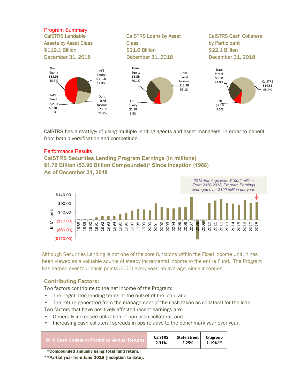

CalSTRS has a strategy of using multiple lending agents and asset managers, in order to benefit from both diversification and competition.

#### Performance Results

#### **CalSTRS Securities Lending Program Earnings (in millions) \$1.70 Billion (\$3.96 Billion Compounded)\* Since Inception (1988) As of December 31, 2018**



Although Securities Lending is not one of the core functions within the Fixed Income Unit, it has been viewed as a valuable source of steady incremental income to the entire Fund. The Program has earned over four basis points (4.50) every year, on average, since inception.

#### **Contributing Factors:**

Two factors contribute to the net income of the Program:

- The negotiated lending terms at the outset of the loan, and
- The return generated from the management of the cash taken as collateral for the loan.

Two factors that have positively affected recent earnings are:

- Generally increased utilization of non-cash collateral, and
- Increasing cash collateral spreads in bps relative to the benchmark year over year.

| -2018 Cash Collateral Portfolios Annual Returns | <b>CalSTRS</b> | State Street | Citigroup |
|-------------------------------------------------|----------------|--------------|-----------|
|                                                 | 2.31%          | 2.25%        | 1.19%**   |
|                                                 |                |              |           |

\*Compounded annually using total fund return.

\*\*Partial year from June 2018 (Inception to date).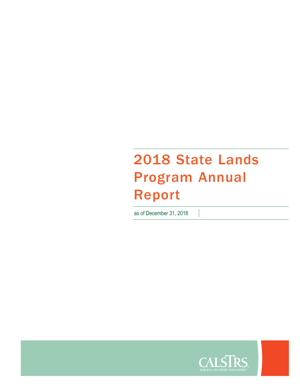## 2018 State Lands Program Annual Report

as of December 31, 2018

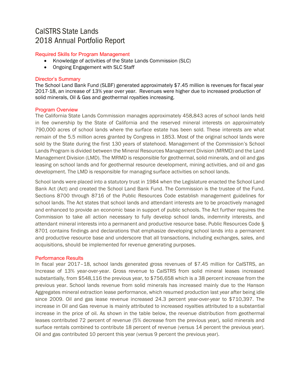### CalSTRS [State](http://www.calstrs.com/investments-overview) Lands 2018 Annual Portfolio Report

#### Required Skills for Program Management

- Knowledge of activities of the State Lands Commission (SLC)
- Ongoing Engagement with SLC Staff

#### Director's Summary

The School Land Bank Fund (SLBF) generated approximately \$7.45 million is revenues for fiscal year 2017-18, an increase of 13% year over year. Revenues were higher due to increased production of solid minerals, Oil & Gas and geothermal royalties increasing.

#### Program Overview

The California State Lands Commission manages approximately 458,843 acres of school lands held in fee ownership by the State of California and the reserved mineral interests on approximately 790,000 acres of school lands where the surface estate has been sold. These interests are what remain of the 5.5 million acres granted by Congress in 1853. Most of the original school lands were sold by the State during the first 130 years of statehood. Management of the Commission's School Lands Program is divided between the Mineral Resources Management Division (MRMD) and the Land Management Division (LMD). The MRMD is responsible for geothermal, solid minerals, and oil and gas leasing on school lands and for geothermal resource development, mining activities, and oil and gas development. The LMD is responsible for managing surface activities on school lands.

School lands were placed into a statutory trust in 1984 when the Legislature enacted the School Land Bank Act (Act) and created the School Land Bank Fund. The Commission is the trustee of the Fund. Sections 8700 through 8716 of the Public Resources Code establish management guidelines for school lands. The Act states that school lands and attendant interests are to be proactively managed and enhanced to provide an economic base in support of public schools. The Act further requires the Commission to take all action necessary to fully develop school lands, indemnity interests, and attendant mineral interests into a permanent and productive resource base. Public Resources Code § 8701 contains findings and declarations that emphasize developing school lands into a permanent and productive resource base and underscore that all transactions, including exchanges, sales, and acquisitions, should be implemented for revenue generating purposes.

#### Performance Results

In fiscal year 2017–18, school lands generated gross revenues of \$7.45 million for CalSTRS, an Increase of 13% year-over-year. Gross revenue to CalSTRS from solid mineral leases increased substantially, from \$548,116 the previous year, to \$756,658 which is a 38 percent increase from the previous year. School lands revenue from solid minerals has increased mainly due to the Hanson Aggregates mineral extraction lease performance, which resumed production last year after being idle since 2009. Oil and gas lease revenue increased 24.3 percent year-over-year to \$710,397. The increase in Oil and Gas revenue is mainly attributed to increased royalties attributed to a substantial increase in the price of oil. As shown in the table below, the revenue distribution from geothermal leases contributed 72 percent of revenue (5% decrease from the previous year), solid minerals and surface rentals combined to contribute 18 percent of revenue (versus 14 percent the previous year). Oil and gas contributed 10 percent this year (versus 9 percent the previous year).